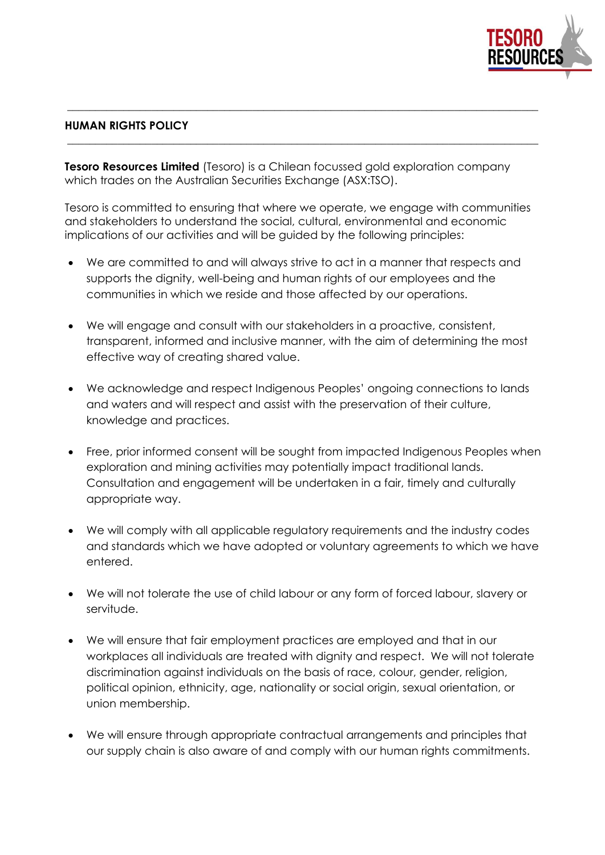

## **HUMAN RIGHTS POLICY**

**Tesoro Resources Limited** (Tesoro) is a Chilean focussed gold exploration company which trades on the Australian Securities Exchange (ASX:TSO).

Tesoro is committed to ensuring that where we operate, we engage with communities and stakeholders to understand the social, cultural, environmental and economic implications of our activities and will be guided by the following principles:

**\_\_\_\_\_\_\_\_\_\_\_\_\_\_\_\_\_\_\_\_\_\_\_\_\_\_\_\_\_\_\_\_\_\_\_\_\_\_\_\_\_\_\_\_\_\_\_\_\_\_\_\_\_\_\_\_\_\_\_\_\_\_\_\_\_\_\_\_\_\_\_\_\_\_\_\_\_\_\_\_\_\_\_\_** 

**\_\_\_\_\_\_\_\_\_\_\_\_\_\_\_\_\_\_\_\_\_\_\_\_\_\_\_\_\_\_\_\_\_\_\_\_\_\_\_\_\_\_\_\_\_\_\_\_\_\_\_\_\_\_\_\_\_\_\_\_\_\_\_\_\_\_\_\_\_\_\_\_\_\_\_\_\_\_\_\_\_\_\_\_**

- We are committed to and will always strive to act in a manner that respects and supports the dignity, well-being and human rights of our employees and the communities in which we reside and those affected by our operations.
- We will engage and consult with our stakeholders in a proactive, consistent, transparent, informed and inclusive manner, with the aim of determining the most effective way of creating shared value.
- We acknowledge and respect Indigenous Peoples' ongoing connections to lands and waters and will respect and assist with the preservation of their culture, knowledge and practices.
- Free, prior informed consent will be sought from impacted Indigenous Peoples when exploration and mining activities may potentially impact traditional lands. Consultation and engagement will be undertaken in a fair, timely and culturally appropriate way.
- We will comply with all applicable regulatory requirements and the industry codes and standards which we have adopted or voluntary agreements to which we have entered.
- We will not tolerate the use of child labour or any form of forced labour, slavery or servitude.
- We will ensure that fair employment practices are employed and that in our workplaces all individuals are treated with dignity and respect. We will not tolerate discrimination against individuals on the basis of race, colour, gender, religion, political opinion, ethnicity, age, nationality or social origin, sexual orientation, or union membership.
- We will ensure through appropriate contractual arrangements and principles that our supply chain is also aware of and comply with our human rights commitments.